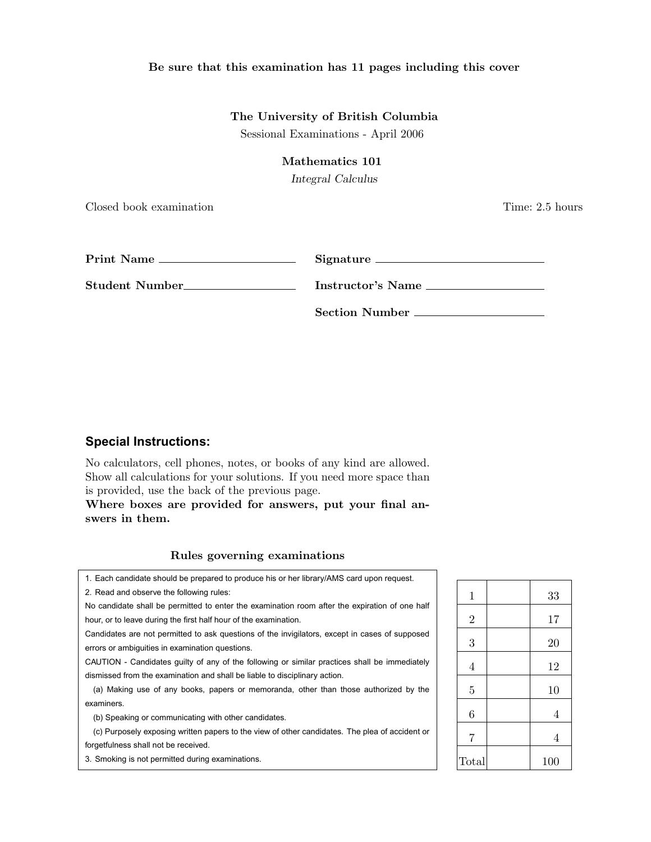## Be sure that this examination has 11 pages including this cover

## The University of British Columbia

Sessional Examinations - April 2006

#### Mathematics 101

*Integral Calculus*

Closed book examination Time: 2.5 hours

| <b>Print Name</b> | Signature             |
|-------------------|-----------------------|
| Student Number    | Instructor's Name     |
|                   | <b>Section Number</b> |

## **Special Instructions:**

No calculators, cell phones, notes, or books of any kind are allowed. Show all calculations for your solutions. If you need more space than is provided, use the back of the previous page.

Where boxes are provided for answers, put your final answers in them.

## Rules governing examinations

1. Each candidate should be prepared to produce his or her library/AMS card upon request. 2. Read and observe the following rules:

No candidate shall be permitted to enter the examination room after the expiration of one half hour, or to leave during the first half hour of the examination.

Candidates are not permitted to ask questions of the invigilators, except in cases of supposed errors or ambiguities in examination questions.

CAUTION - Candidates guilty of any of the following or similar practices shall be immediately dismissed from the examination and shall be liable to disciplinary action.

(a) Making use of any books, papers or memoranda, other than those authorized by the examiners.

(b) Speaking or communicating with other candidates.

(c) Purposely exposing written papers to the view of other candidates. The plea of accident or forgetfulness shall not be received.

3. Smoking is not permitted during examinations.

| $\mathbf{1}$   | 33  |
|----------------|-----|
| $\overline{2}$ | 17  |
| 3              | 20  |
| $\overline{4}$ | 12  |
| $\overline{5}$ | 10  |
| 6              | 4   |
| $\overline{7}$ | 4   |
| Total          | 100 |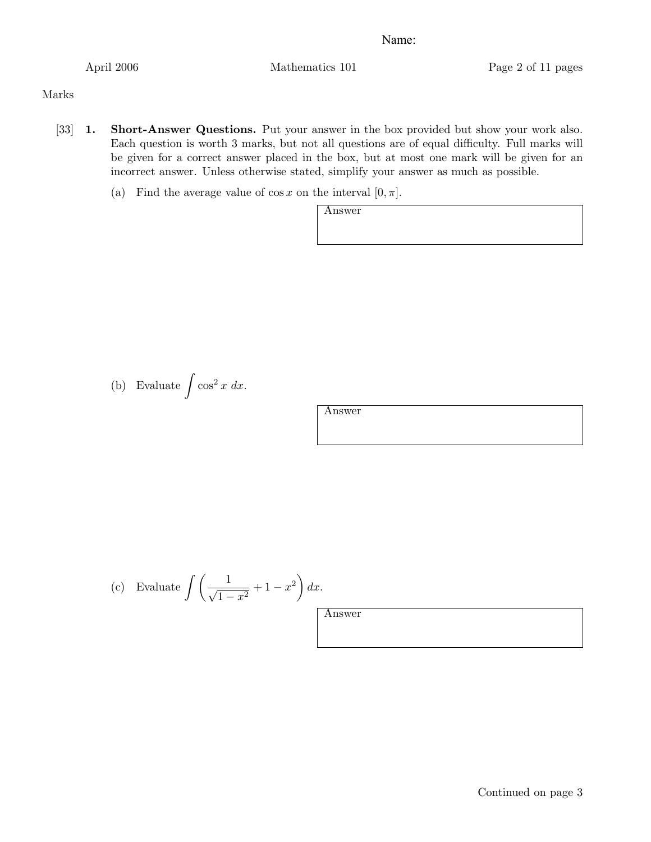April 2006 Mathematics 101 Page 2 of 11 pages

## Marks

- [33] 1. Short-Answer Questions. Put your answer in the box provided but show your work also. Each question is worth 3 marks, but not all questions are of equal difficulty. Full marks will be given for a correct answer placed in the box, but at most one mark will be given for an incorrect answer. Unless otherwise stated, simplify your answer as much as possible.
	- (a) Find the average value of  $\cos x$  on the interval  $[0, \pi]$ .

Answer

(b) Evaluate  $\int \cos^2 x \ dx$ .

(c) Evaluate 
$$
\int \left(\frac{1}{\sqrt{1-x^2}} + 1 - x^2\right) dx
$$
.  
Answer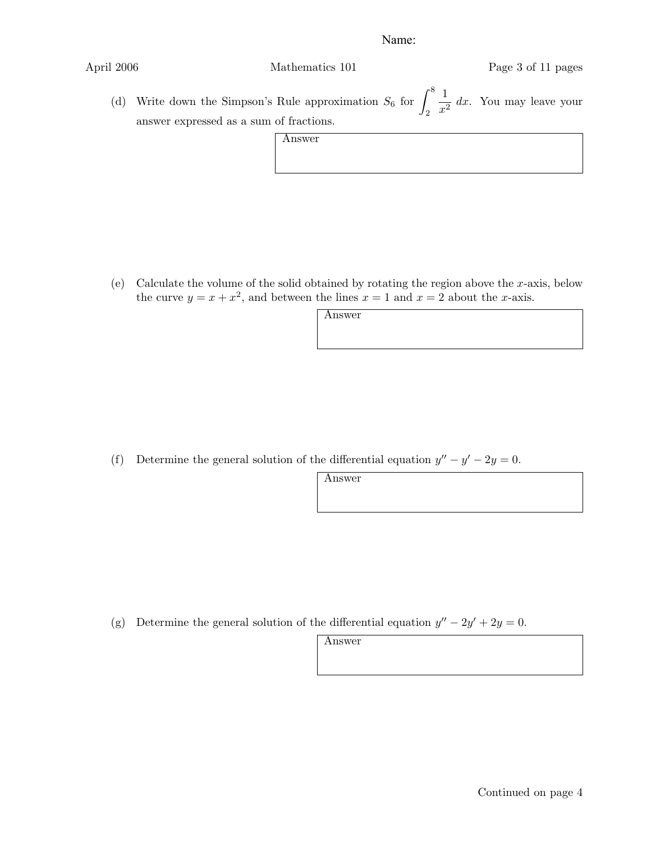Continued on page 4

April 2006 Mathematics 101 Page 3 of 11 pages

(d) Write down the Simpson's Rule approximation  $S_6$  for  $\int_8^8$ 2  $\frac{1}{x^2}$  *dx*. You may leave your answer expressed as a sum of fractions.

Answer

(e) Calculate the volume of the solid obtained by rotating the region above the *x*-axis, below the curve  $y = x + x^2$ , and between the lines  $x = 1$  and  $x = 2$  about the *x*-axis.

Answer

(f) Determine the general solution of the differential equation  $y'' - y' - 2y = 0$ .

Answer

(g) Determine the general solution of the differential equation  $y'' - 2y' + 2y = 0$ .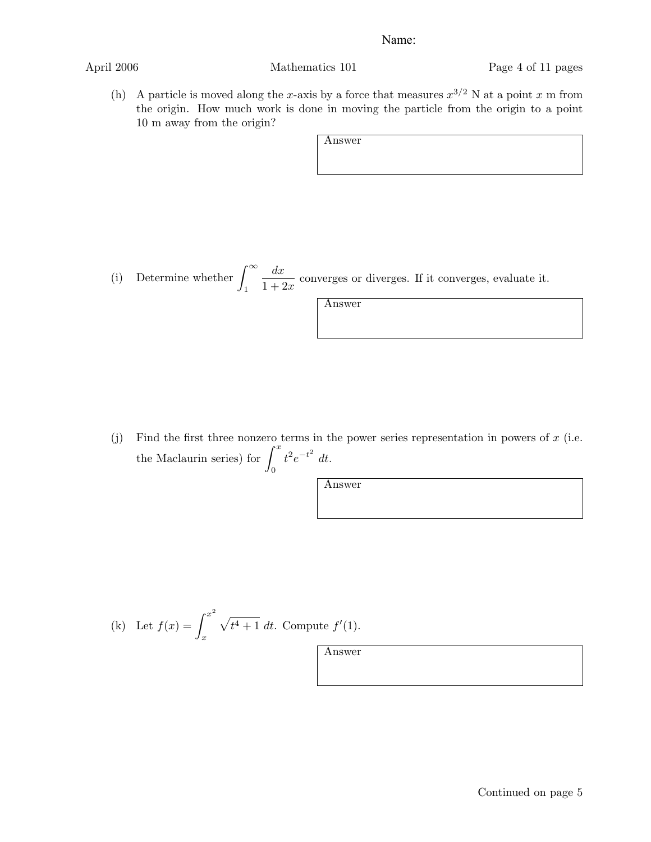(h) A particle is moved along the *x*-axis by a force that measures  $x^{3/2}$  N at a point *x* m from the origin. How much work is done in moving the particle from the origin to a point 10 m away from the origin?

Answer

(i) Determine whether  $\int_{-\infty}^{\infty}$ 1 *dx*  $\frac{ax}{1+2x}$  converges or diverges. If it converges, evaluate it.

Answer

(j) Find the first three nonzero terms in the power series representation in powers of *x* (i.e. the Maclaurin series) for  $\int_0^x$ *t* <sup>2</sup>*e−t*<sup>2</sup> *dt*.

Answer

(k) Let  $f(x) = \int^{x^2}$ *x*  $\sqrt{t^4+1}$  *dt*. Compute  $f'(1)$ .

 $\mathbf{0}$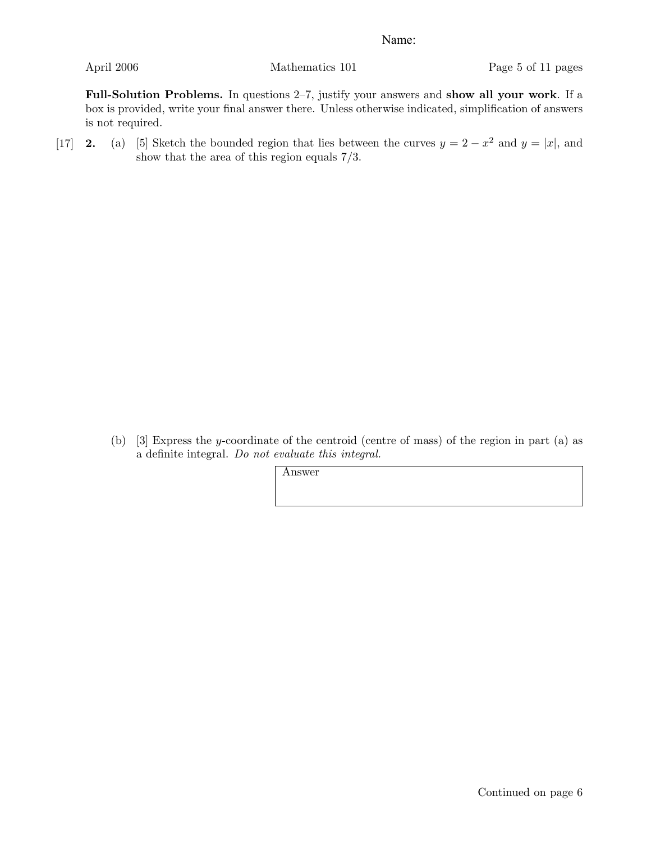Full-Solution Problems. In questions 2–7, justify your answers and show all your work. If a box is provided, write your final answer there. Unless otherwise indicated, simplification of answers is not required.

[17] 2. (a) [5] Sketch the bounded region that lies between the curves  $y = 2 - x^2$  and  $y = |x|$ , and show that the area of this region equals 7/3.

> (b) [3] Express the *y*-coordinate of the centroid (centre of mass) of the region in part (a) as a definite integral. *Do not evaluate this integral.*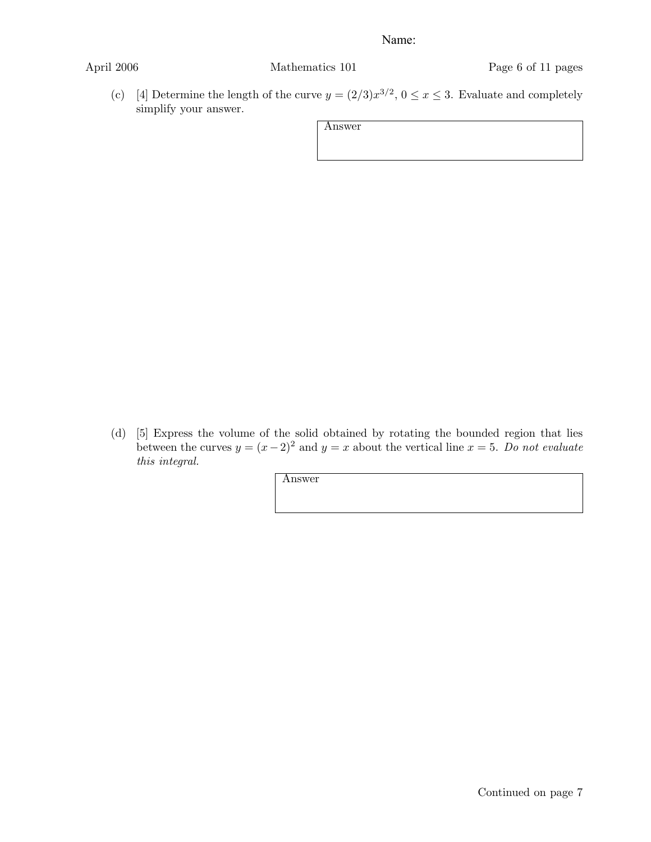April 2006 Mathematics 101 Page 6 of 11 pages

(c) [4] Determine the length of the curve  $y = (2/3)x^{3/2}$ ,  $0 \le x \le 3$ . Evaluate and completely simplify your answer.

Answer

(d) [5] Express the volume of the solid obtained by rotating the bounded region that lies between the curves  $y = (x - 2)^2$  and  $y = x$  about the vertical line  $x = 5$ . *Do not evaluate this integral.*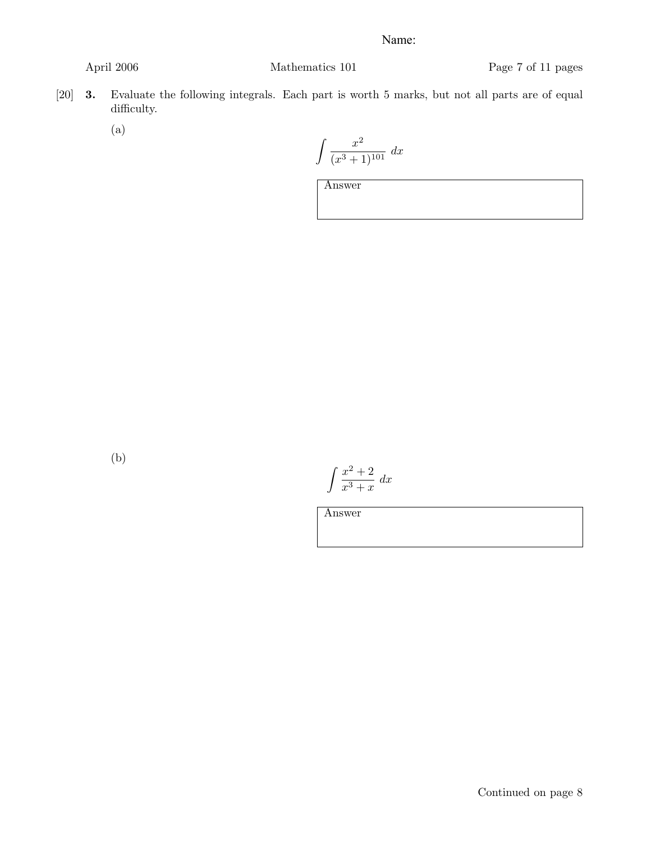April 2006 Mathematics 101 Page 7 of 11 pages

- [20] 3. Evaluate the following integrals. Each part is worth 5 marks, but not all parts are of equal difficulty.
	- (a)

$$
\int \frac{x^2}{(x^3+1)^{101}} \, dx
$$

Answer

(b)

 $\int x^2 + 2$  $\int \frac{x}{x^3 + x} dx$ 

Answer

Continued on page 8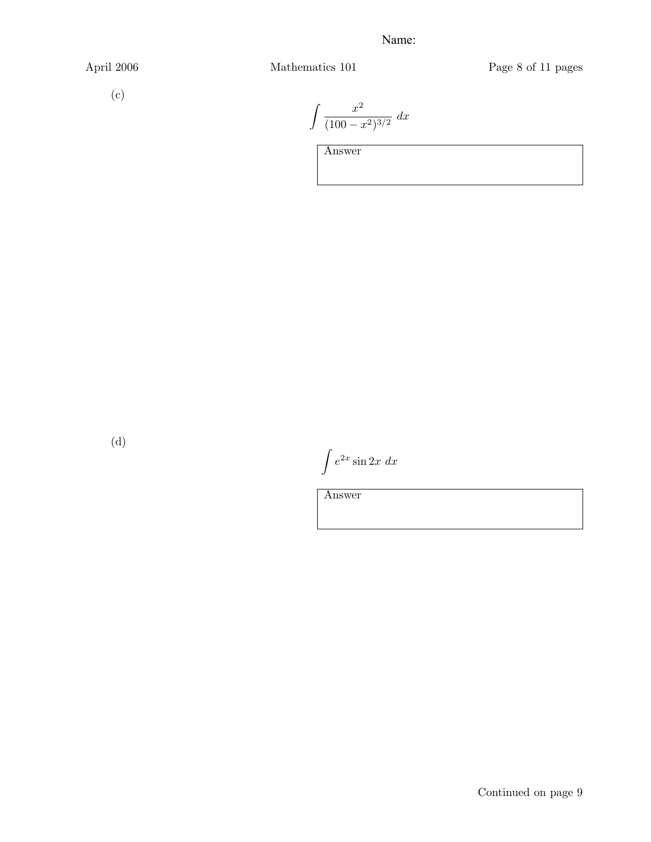(c)

April 2006 Mathematics 101 Page 8 of 11 pages

$$
\int \frac{x^2}{(100 - x^2)^{3/2}} dx
$$

Answer

(d)

 $\int e^{2x} \sin 2x \ dx$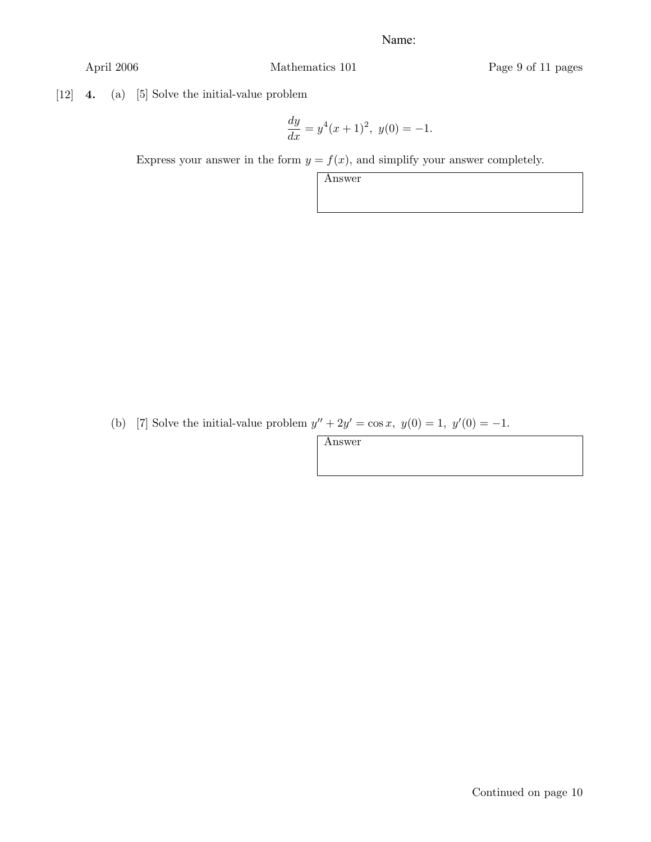April 2006 Mathematics 101 Page 9 of 11 pages

[12] 4. (a) [5] Solve the initial-value problem

$$
\frac{dy}{dx} = y^4(x+1)^2, \ y(0) = -1.
$$

Express your answer in the form  $y = f(x)$ , and simplify your answer completely.

Answer

(b) [7] Solve the initial-value problem  $y'' + 2y' = \cos x$ ,  $y(0) = 1$ ,  $y'(0) = -1$ .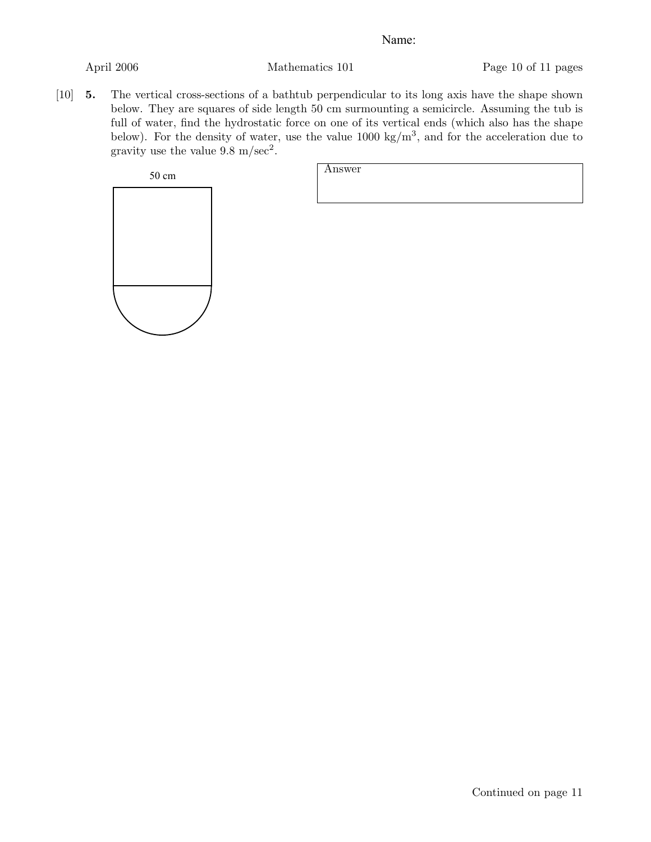[10] 5. The vertical cross-sections of a bathtub perpendicular to its long axis have the shape shown below. They are squares of side length 50 cm surmounting a semicircle. Assuming the tub is full of water, find the hydrostatic force on one of its vertical ends (which also has the shape below). For the density of water, use the value  $1000 \text{ kg/m}^3$ , and for the acceleration due to gravity use the value  $9.8 \text{ m/sec}^2$ .



| Answer |  |  |  |
|--------|--|--|--|
|        |  |  |  |
|        |  |  |  |
|        |  |  |  |